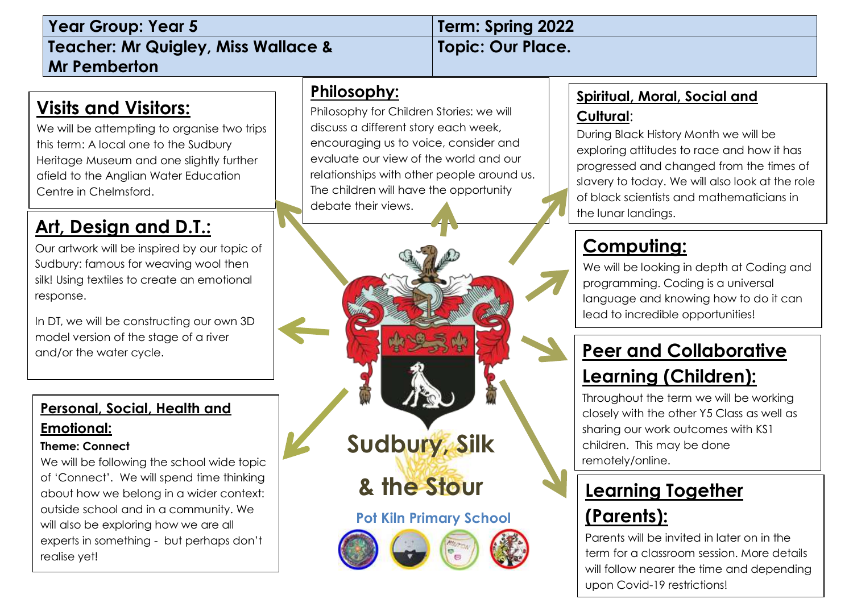| <b>Year Group: Year 5</b>                                                                                                                                                                                                          | Term: Spring 2022                                                                                                                                                                                                                                                                                 |                                                                                                                                                                                                                                                                                                            |
|------------------------------------------------------------------------------------------------------------------------------------------------------------------------------------------------------------------------------------|---------------------------------------------------------------------------------------------------------------------------------------------------------------------------------------------------------------------------------------------------------------------------------------------------|------------------------------------------------------------------------------------------------------------------------------------------------------------------------------------------------------------------------------------------------------------------------------------------------------------|
| <b>Teacher: Mr Quigley, Miss Wallace &amp;</b>                                                                                                                                                                                     | <b>Topic: Our Place.</b>                                                                                                                                                                                                                                                                          |                                                                                                                                                                                                                                                                                                            |
| <b>Mr Pemberton</b>                                                                                                                                                                                                                |                                                                                                                                                                                                                                                                                                   |                                                                                                                                                                                                                                                                                                            |
| <u>Visits and Visitors:</u><br>We will be attempting to organise two trips<br>this term: A local one to the Sudbury<br>Heritage Museum and one slightly further<br>afield to the Anglian Water Education<br>Centre in Chelmsford.  | Philosophy:<br>Philosophy for Children Stories: we will<br>discuss a different story each week,<br>encouraging us to voice, consider and<br>evaluate our view of the world and our<br>relationships with other people around us.<br>The children will have the opportunity<br>debate their views. | <b>Spiritual, Moral, Social and</b><br>Cultural:<br>During Black History Month we will be<br>exploring attitudes to race and how it has<br>progressed and changed from the times of<br>slavery to today. We will also look at the role<br>of black scientists and mathematicians in<br>the lunar landings. |
| <u>Art, Design and D.T.:</u><br>Our artwork will be inspired by our topic of<br>Sudbury: famous for weaving wool then<br>silk! Using textiles to create an emotional<br>response.<br>In DT, we will be constructing our own 3D     |                                                                                                                                                                                                                                                                                                   | <u>Computing:</u><br>We will be looking in depth at Coding and<br>programming. Coding is a universal<br>language and knowing how to do it can<br>lead to incredible opportunities!                                                                                                                         |
| model version of the stage of a river<br>and/or the water cycle.                                                                                                                                                                   |                                                                                                                                                                                                                                                                                                   | <b>Peer and Collaborative</b><br><b>Learning (Children):</b><br>Throughout the term we will be working                                                                                                                                                                                                     |
| Personal, Social, Health and<br><u>Emotional:</u><br><b>Theme: Connect</b><br>We will be following the school wide topic                                                                                                           | Sudbury, Silk                                                                                                                                                                                                                                                                                     | closely with the other Y5 Class as well as<br>sharing our work outcomes with KS1<br>children. This may be done<br>remotely/online.                                                                                                                                                                         |
| of 'Connect'. We will spend time thinking<br>about how we belong in a wider context:<br>outside school and in a community. We<br>will also be exploring how we are all<br>experts in something - but perhaps don't<br>realise yet! | & the Stour<br><b>Pot Kiln Primary School</b><br>Mars.<br>$\Theta$                                                                                                                                                                                                                                | <b>Learning Together</b><br><u>(Parents):</u><br>Parents will be invited in later on in the<br>term for a classroom session. More details<br>will follow nearer the time and depending                                                                                                                     |

upon Covid-19 restrictions!